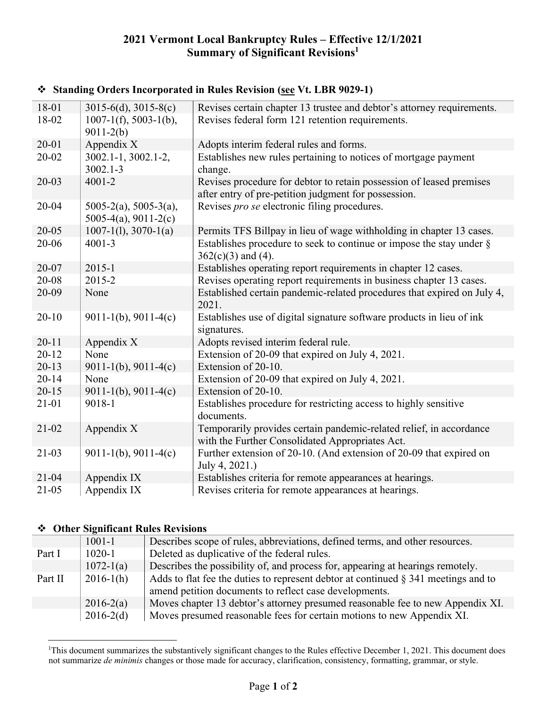## **2021 Vermont Local Bankruptcy Rules – Effective 12/1/2021 Summary of Significant Revisions1**

| 18-01     | $3015-6(d)$ , $3015-8(c)$   | Revises certain chapter 13 trustee and debtor's attorney requirements.  |
|-----------|-----------------------------|-------------------------------------------------------------------------|
| 18-02     | $1007-1(f)$ , 5003-1(b),    | Revises federal form 121 retention requirements.                        |
|           | $9011-2(b)$                 |                                                                         |
| $20 - 01$ | Appendix X                  | Adopts interim federal rules and forms.                                 |
| $20 - 02$ | 3002.1-1, 3002.1-2,         | Establishes new rules pertaining to notices of mortgage payment         |
|           | $3002.1 - 3$                | change.                                                                 |
| $20 - 03$ | $4001 - 2$                  | Revises procedure for debtor to retain possession of leased premises    |
|           |                             | after entry of pre-petition judgment for possession.                    |
| $20 - 04$ | $5005-2(a)$ , $5005-3(a)$ , | Revises pro se electronic filing procedures.                            |
|           | 5005-4(a), $9011-2(c)$      |                                                                         |
| $20 - 05$ | $1007 - 1(1), 3070 - 1(a)$  | Permits TFS Billpay in lieu of wage withholding in chapter 13 cases.    |
| 20-06     | $4001 - 3$                  | Establishes procedure to seek to continue or impose the stay under $\S$ |
|           |                             | $362(c)(3)$ and (4).                                                    |
| $20 - 07$ | $2015 - 1$                  | Establishes operating report requirements in chapter 12 cases.          |
| 20-08     | 2015-2                      | Revises operating report requirements in business chapter 13 cases.     |
| 20-09     | None                        | Established certain pandemic-related procedures that expired on July 4, |
|           |                             | 2021.                                                                   |
| $20 - 10$ | $9011-1(b)$ , $9011-4(c)$   | Establishes use of digital signature software products in lieu of ink   |
|           |                             | signatures.                                                             |
| $20 - 11$ | Appendix X                  | Adopts revised interim federal rule.                                    |
| $20 - 12$ | None                        | Extension of 20-09 that expired on July 4, 2021.                        |
| $20-13$   | $9011-1(b)$ , $9011-4(c)$   | Extension of 20-10.                                                     |
| $20 - 14$ | None                        | Extension of 20-09 that expired on July 4, 2021.                        |
| $20 - 15$ | $9011-1(b)$ , $9011-4(c)$   | Extension of 20-10.                                                     |
| $21 - 01$ | 9018-1                      | Establishes procedure for restricting access to highly sensitive        |
|           |                             | documents.                                                              |
| $21 - 02$ | Appendix X                  | Temporarily provides certain pandemic-related relief, in accordance     |
|           |                             | with the Further Consolidated Appropriates Act.                         |
| $21-03$   | $9011-1(b)$ , $9011-4(c)$   | Further extension of 20-10. (And extension of 20-09 that expired on     |
|           |                             | July 4, 2021.)                                                          |
| $21 - 04$ | Appendix IX                 | Establishes criteria for remote appearances at hearings.                |
| $21 - 05$ | Appendix IX                 | Revises criteria for remote appearances at hearings.                    |

## **Standing Orders Incorporated in Rules Revision (see Vt. LBR 9029-1)**

## **Other Significant Rules Revisions**

| <u>other billimether</u> hands he visions |               |                                                                                       |  |  |
|-------------------------------------------|---------------|---------------------------------------------------------------------------------------|--|--|
|                                           | $1001 - 1$    | Describes scope of rules, abbreviations, defined terms, and other resources.          |  |  |
| Part I                                    | $1020 - 1$    | Deleted as duplicative of the federal rules.                                          |  |  |
|                                           | $1072 - 1(a)$ | Describes the possibility of, and process for, appearing at hearings remotely.        |  |  |
| Part II                                   | $2016-1(h)$   | Adds to flat fee the duties to represent debtor at continued $\S$ 341 meetings and to |  |  |
|                                           |               | amend petition documents to reflect case developments.                                |  |  |
|                                           | $2016 - 2(a)$ | Moves chapter 13 debtor's attorney presumed reasonable fee to new Appendix XI.        |  |  |
|                                           | $2016-2(d)$   | Moves presumed reasonable fees for certain motions to new Appendix XI.                |  |  |

<sup>&</sup>lt;sup>1</sup>This document summarizes the substantively significant changes to the Rules effective December 1, 2021. This document does not summarize *de minimis* changes or those made for accuracy, clarification, consistency, formatting, grammar, or style.